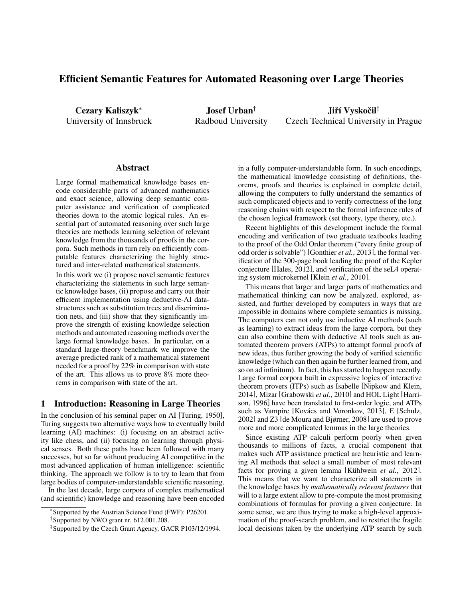# Efficient Semantic Features for Automated Reasoning over Large Theories

Cezary Kaliszyk<sup>∗</sup> University of Innsbruck

Josef Urban† Radboud University

Jiří Vyskočil‡ Czech Technical University in Prague

#### Abstract

Large formal mathematical knowledge bases encode considerable parts of advanced mathematics and exact science, allowing deep semantic computer assistance and verification of complicated theories down to the atomic logical rules. An essential part of automated reasoning over such large theories are methods learning selection of relevant knowledge from the thousands of proofs in the corpora. Such methods in turn rely on efficiently computable features characterizing the highly structured and inter-related mathematical statements.

In this work we (i) propose novel semantic features characterizing the statements in such large semantic knowledge bases, (ii) propose and carry out their efficient implementation using deductive-AI datastructures such as substitution trees and discrimination nets, and (iii) show that they significantly improve the strength of existing knowledge selection methods and automated reasoning methods over the large formal knowledge bases. In particular, on a standard large-theory benchmark we improve the average predicted rank of a mathematical statement needed for a proof by 22% in comparison with state of the art. This allows us to prove 8% more theorems in comparison with state of the art.

## 1 Introduction: Reasoning in Large Theories

In the conclusion of his seminal paper on AI [Turing, 1950], Turing suggests two alternative ways how to eventually build learning (AI) machines: (i) focusing on an abstract activity like chess, and (ii) focusing on learning through physical senses. Both these paths have been followed with many successes, but so far without producing AI competitive in the most advanced application of human intelligence: scientific thinking. The approach we follow is to try to learn that from large bodies of computer-understandable scientific reasoning.

In the last decade, large corpora of complex mathematical (and scientific) knowledge and reasoning have been encoded in a fully computer-understandable form. In such encodings, the mathematical knowledge consisting of definitions, theorems, proofs and theories is explained in complete detail, allowing the computers to fully understand the semantics of such complicated objects and to verify correctness of the long reasoning chains with respect to the formal inference rules of the chosen logical framework (set theory, type theory, etc.).

Recent highlights of this development include the formal encoding and verification of two graduate textbooks leading to the proof of the Odd Order theorem ("every finite group of odd order is solvable") [Gonthier *et al.*, 2013], the formal verification of the 300-page book leading the proof of the Kepler conjecture [Hales, 2012], and verification of the seL4 operating system microkernel [Klein *et al.*, 2010].

This means that larger and larger parts of mathematics and mathematical thinking can now be analyzed, explored, assisted, and further developed by computers in ways that are impossible in domains where complete semantics is missing. The computers can not only use inductive AI methods (such as learning) to extract ideas from the large corpora, but they can also combine them with deductive AI tools such as automated theorem provers (ATPs) to attempt formal proofs of new ideas, thus further growing the body of verified scientific knowledge (which can then again be further learned from, and so on ad infinitum). In fact, this has started to happen recently. Large formal corpora built in expressive logics of interactive theorem provers (ITPs) such as Isabelle [Nipkow and Klein, 2014], Mizar [Grabowski *et al.*, 2010] and HOL Light [Harrison, 1996] have been translated to first-order logic, and ATPs such as Vampire [Kovács and Voronkov, 2013], E [Schulz, 2002] and Z3 [de Moura and Bjørner, 2008] are used to prove more and more complicated lemmas in the large theories.

Since existing ATP calculi perform poorly when given thousands to millions of facts, a crucial component that makes such ATP assistance practical are heuristic and learning AI methods that select a small number of most relevant facts for proving a given lemma [Kühlwein et al., 2012]. This means that we want to characterize all statements in the knowledge bases by *mathematically relevant features* that will to a large extent allow to pre-compute the most promising combinations of formulas for proving a given conjecture. In some sense, we are thus trying to make a high-level approximation of the proof-search problem, and to restrict the fragile local decisions taken by the underlying ATP search by such

<sup>∗</sup> Supported by the Austrian Science Fund (FWF): P26201.

<sup>†</sup> Supported by NWO grant nr. 612.001.208.

<sup>‡</sup> Supported by the Czech Grant Agency, GACR P103/12/1994.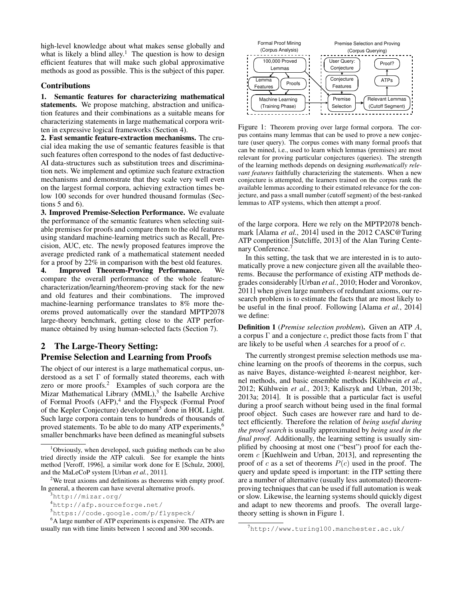high-level knowledge about what makes sense globally and what is likely a blind alley.<sup>1</sup> The question is how to design efficient features that will make such global approximative methods as good as possible. This is the subject of this paper.

### Contributions

1. Semantic features for characterizing mathematical statements. We propose matching, abstraction and unification features and their combinations as a suitable means for characterizing statements in large mathematical corpora written in expressive logical frameworks (Section 4).

2. Fast semantic feature-extraction mechanisms. The crucial idea making the use of semantic features feasible is that such features often correspond to the nodes of fast deductive-AI data-structures such as substitution trees and discrimination nets. We implement and optimize such feature extraction mechanisms and demonstrate that they scale very well even on the largest formal corpora, achieving extraction times below 100 seconds for over hundred thousand formulas (Sections 5 and 6).

3. Improved Premise-Selection Performance. We evaluate the performance of the semantic features when selecting suitable premises for proofs and compare them to the old features using standard machine-learning metrics such as Recall, Precision, AUC, etc. The newly proposed features improve the average predicted rank of a mathematical statement needed for a proof by 22% in comparison with the best old features.

4. Improved Theorem-Proving Performance. We compare the overall performance of the whole featurecharacterization/learning/theorem-proving stack for the new and old features and their combinations. The improved machine-learning performance translates to 8% more theorems proved automatically over the standard MPTP2078 large-theory benchmark, getting close to the ATP performance obtained by using human-selected facts (Section 7).

# 2 The Large-Theory Setting: Premise Selection and Learning from Proofs

The object of our interest is a large mathematical corpus, understood as a set  $\Gamma$  of formally stated theorems, each with zero or more proofs. $2$  Examples of such corpora are the Mizar Mathematical Library (MML),<sup>3</sup> the Isabelle Archive of Formal Proofs (AFP),<sup>4</sup> and the Flyspeck (Formal Proof of the Kepler Conjecture) development<sup>5</sup> done in HOL Light. Such large corpora contain tens to hundreds of thousands of proved statements. To be able to do many ATP experiments,<sup>6</sup> smaller benchmarks have been defined as meaningful subsets



Figure 1: Theorem proving over large formal corpora. The corpus contains many lemmas that can be used to prove a new conjecture (user query). The corpus comes with many formal proofs that can be mined, i.e., used to learn which lemmas (premises) are most relevant for proving particular conjectures (queries). The strength of the learning methods depends on designing *mathematically relevant features* faithfully characterizing the statements. When a new conjecture is attempted, the learners trained on the corpus rank the available lemmas according to their estimated relevance for the conjecture, and pass a small number (cutoff segment) of the best-ranked lemmas to ATP systems, which then attempt a proof.

of the large corpora. Here we rely on the MPTP2078 benchmark [Alama *et al.*, 2014] used in the 2012 CASC@Turing ATP competition [Sutcliffe, 2013] of the Alan Turing Centenary Conference.<sup>7</sup>

In this setting, the task that we are interested in is to automatically prove a new conjecture given all the available theorems. Because the performance of existing ATP methods degrades considerably [Urban *et al.*, 2010; Hoder and Voronkov, 2011] when given large numbers of redundant axioms, our research problem is to estimate the facts that are most likely to be useful in the final proof. Following [Alama *et al.*, 2014] we define:

Definition 1 (*Premise selection problem*). Given an ATP A, a corpus Γ and a conjecture c, predict those facts from Γ that are likely to be useful when A searches for a proof of c.

The currently strongest premise selection methods use machine learning on the proofs of theorems in the corpus, such as naive Bayes, distance-weighted  $k$ -nearest neighbor, kernel methods, and basic ensemble methods [Kühlwein *et al.*, 2012; Kühlwein *et al.*, 2013; Kaliszyk and Urban, 2013b; 2013a; 2014]. It is possible that a particular fact is useful during a proof search without being used in the final formal proof object. Such cases are however rare and hard to detect efficiently. Therefore the relation of *being useful during the proof search* is usually approximated by *being used in the final proof*. Additionally, the learning setting is usually simplified by choosing at most one ("best") proof for each theorem c [Kuehlwein and Urban, 2013], and representing the proof of c as a set of theorems  $P(c)$  used in the proof. The query and update speed is important: in the ITP setting there are a number of alternative (usually less automated) theoremproving techniques that can be used if full automation is weak or slow. Likewise, the learning systems should quickly digest and adapt to new theorems and proofs. The overall largetheory setting is shown in Figure 1.

 $1$ Obviously, when developed, such guiding methods can be also tried directly inside the ATP calculi. See for example the hints method [Veroff, 1996], a similar work done for E [Schulz, 2000], and the MaLeCoP system [Urban *et al.*, 2011].

<sup>&</sup>lt;sup>2</sup>We treat axioms and definitions as theorems with empty proof. In general, a theorem can have several alternative proofs.

<sup>3</sup>http://mizar.org/

<sup>4</sup>http://afp.sourceforge.net/

<sup>5</sup>https://code.google.com/p/flyspeck/

<sup>&</sup>lt;sup>6</sup>A large number of ATP experiments is expensive. The ATPs are usually run with time limits between 1 second and 300 seconds.

<sup>7</sup>http://www.turing100.manchester.ac.uk/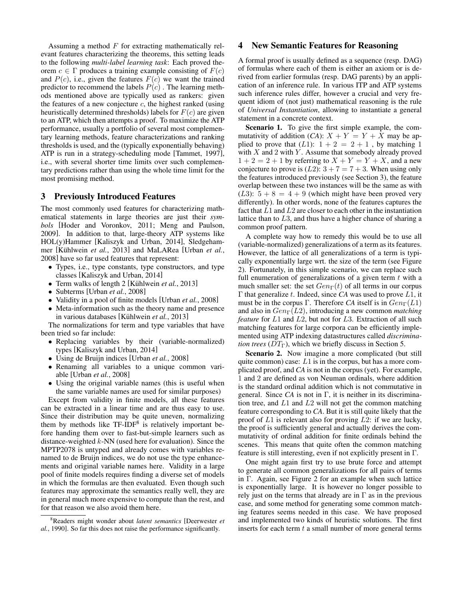Assuming a method  $F$  for extracting mathematically relevant features characterizing the theorems, this setting leads to the following *multi-label learning task*: Each proved theorem  $c \in \Gamma$  produces a training example consisting of  $F(c)$ and  $P(c)$ , i.e., given the features  $F(c)$  we want the trained predictor to recommend the labels  $P(c)$ . The learning methods mentioned above are typically used as rankers: given the features of a new conjecture  $c$ , the highest ranked (using heuristically determined thresholds) labels for  $F(c)$  are given to an ATP, which then attempts a proof. To maximize the ATP performance, usually a portfolio of several most complementary learning methods, feature characterizations and ranking thresholds is used, and the (typically exponentially behaving) ATP is run in a strategy-scheduling mode [Tammet, 1997], i.e., with several shorter time limits over such complementary predictions rather than using the whole time limit for the most promising method.

### 3 Previously Introduced Features

The most commonly used features for characterizing mathematical statements in large theories are just their *symbols* [Hoder and Voronkov, 2011; Meng and Paulson, 2009]. In addition to that, large-theory ATP systems like HOL(y)Hammer [Kaliszyk and Urban, 2014], Sledgehammer [Kühlwein et al., 2013] and MaLARea [Urban et al., 2008] have so far used features that represent:

- Types, i.e., type constants, type constructors, and type classes [Kaliszyk and Urban, 2014]
- Term walks of length 2 [Kühlwein et al., 2013]
- Subterms [Urban *et al.*, 2008]
- Validity in a pool of finite models [Urban *et al.*, 2008]
- Meta-information such as the theory name and presence in various databases [Kühlwein *et al.*, 2013]

The normalizations for term and type variables that have been tried so far include:

- Replacing variables by their (variable-normalized) types [Kaliszyk and Urban, 2014]
- Using de Bruijn indices [Urban *et al.*, 2008]
- Renaming all variables to a unique common variable [Urban *et al.*, 2008]
- Using the original variable names (this is useful when the same variable names are used for similar purposes)

Except from validity in finite models, all these features can be extracted in a linear time and are thus easy to use. Since their distribution may be quite uneven, normalizing them by methods like  $TF-IDF<sup>8</sup>$  is relatively important before handing them over to fast-but-simple learners such as distance-weighted  $k$ -NN (used here for evaluation). Since the MPTP2078 is untyped and already comes with variables renamed to de Bruijn indices, we do not use the type enhancements and original variable names here. Validity in a large pool of finite models requires finding a diverse set of models in which the formulas are then evaluated. Even though such features may approximate the semantics really well, they are in general much more expensive to compute than the rest, and for that reason we also avoid them here.

## 4 New Semantic Features for Reasoning

A formal proof is usually defined as a sequence (resp. DAG) of formulas where each of them is either an axiom or is derived from earlier formulas (resp. DAG parents) by an application of an inference rule. In various ITP and ATP systems such inference rules differ, however a crucial and very frequent idiom of (not just) mathematical reasoning is the rule of *Universal Instantiation*, allowing to instantiate a general statement in a concrete context.

Scenario 1. To give the first simple example, the commutativity of addition  $(CA)$ :  $X + Y = Y + X$  may be applied to prove that  $(L1)$ :  $1 + 2 = 2 + 1$ , by matching 1 with  $X$  and  $2$  with  $Y$ . Assume that somebody already proved  $1+2=2+1$  by referring to  $X + Y = Y + X$ , and a new conjecture to prove is  $(L2)$ :  $3 + 7 = 7 + 3$ . When using only the features introduced previously (see Section 3), the feature overlap between these two instances will be the same as with  $(L3): 5 + 8 = 4 + 9$  (which might have been proved very differently). In other words, none of the features captures the fact that  $L1$  and  $L2$  are closer to each other in the instantiation lattice than to L3, and thus have a higher chance of sharing a common proof pattern.

A complete way how to remedy this would be to use all (variable-normalized) generalizations of a term as its features. However, the lattice of all generalizations of a term is typically exponentially large wrt. the size of the term (see Figure 2). Fortunately, in this simple scenario, we can replace such full enumeration of generalizations of a given term  $t$  with a much smaller set: the set  $Gen<sub>\Gamma</sub>(t)$  of all terms in our corpus Γ that generalize t. Indeed, since *CA* was used to prove L1, it must be in the corpus Γ. Therefore *CA* itself is in  $Gen<sub>Γ</sub>(L1)$ and also in  $Gen<sub>Γ</sub>(L2)$ , introducing a new common *matching feature* for L1 and L2, but not for L3. Extraction of all such matching features for large corpora can be efficiently implemented using ATP indexing datastructures called *discrimination trees* ( $DT_{\Gamma}$ ), which we briefly discuss in Section 5.

Scenario 2. Now imagine a more complicated (but still quite common) case:  $L1$  is in the corpus, but has a more complicated proof, and *CA* is not in the corpus (yet). For example, 1 and 2 are defined as von Neuman ordinals, where addition is the standard ordinal addition which is not commutative in general. Since *CA* is not in Γ, it is neither in its discrimination tree, and  $L1$  and  $L2$  will not get the common matching feature corresponding to *CA*. But it is still quite likely that the proof of  $L1$  is relevant also for proving  $L2$ : if we are lucky, the proof is sufficiently general and actually derives the commutativity of ordinal addition for finite ordinals behind the scenes. This means that quite often the common matching feature is still interesting, even if not explicitly present in Γ.

One might again first try to use brute force and attempt to generate all common generalizations for all pairs of terms in Γ. Again, see Figure 2 for an example when such lattice is exponentially large. It is however no longer possible to rely just on the terms that already are in  $\Gamma$  as in the previous case, and some method for generating some common matching features seems needed in this case. We have proposed and implemented two kinds of heuristic solutions. The first inserts for each term  $t$  a small number of more general terms

<sup>8</sup>Readers might wonder about *latent semantics* [Deerwester *et al.*, 1990]. So far this does not raise the performance significantly.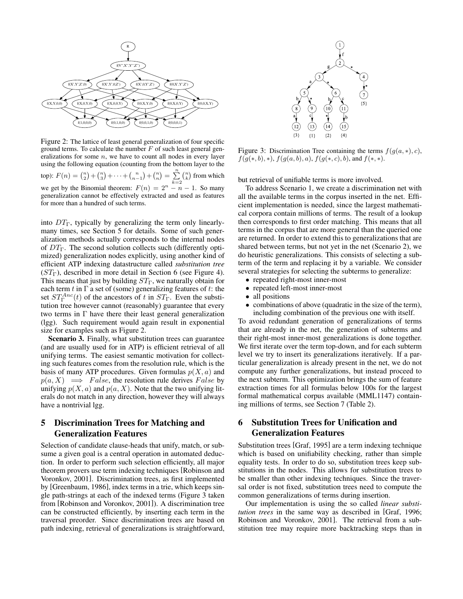

Figure 2: The lattice of least general generalization of four specific ground terms. To calculate the number  $F$  of such least general generalizations for some  $n$ , we have to count all nodes in every layer using the following equation (counting from the bottom layer to the top):  $F(n) = {n \choose 2} + {n \choose 3} + \cdots + {n \choose n-1} + {n \choose n} = \sum_{k=2}^{n}$  $\binom{n}{k}$  from which we get by the Binomial theorem:  $F(n) = 2<sup>n</sup> - n - 1$ . So many generalization cannot be effectively extracted and used as features for more than a hundred of such terms.

into  $DT_{\Gamma}$ , typically by generalizing the term only linearlymany times, see Section 5 for details. Some of such generalization methods actually corresponds to the internal nodes of  $DT_{\Gamma}$ . The second solution collects such (differently optimized) generalization nodes explicitly, using another kind of efficient ATP indexing datastructure called *substitution tree*  $(ST_{\Gamma})$ , described in more detail in Section 6 (see Figure 4). This means that just by building  $ST_\Gamma$ , we naturally obtain for each term t in  $\Gamma$  a set of (some) generalizing features of t: the set  $ST^{Anc}_{\Gamma}(t)$  of the ancestors of t in  $ST_{\Gamma}$ . Even the substitution tree however cannot (reasonably) guarantee that every two terms in Γ have there their least general generalization (lgg). Such requirement would again result in exponential size for examples such as Figure 2.

Scenario 3. Finally, what substitution trees can guarantee (and are usually used for in ATP) is efficient retrieval of all unifying terms. The easiest semantic motivation for collecting such features comes from the resolution rule, which is the basis of many ATP procedures. Given formulas  $p(X, a)$  and  $p(a, X) \implies False$ , the resolution rule derives False by unifying  $p(X, a)$  and  $p(a, X)$ . Note that the two unifying literals do not match in any direction, however they will always have a nontrivial lgg.

# 5 Discrimination Trees for Matching and Generalization Features

Selection of candidate clause-heads that unify, match, or subsume a given goal is a central operation in automated deduction. In order to perform such selection efficiently, all major theorem provers use term indexing techniques [Robinson and Voronkov, 2001]. Discrimination trees, as first implemented by [Greenbaum, 1986], index terms in a trie, which keeps single path-strings at each of the indexed terms (Figure 3 taken from [Robinson and Voronkov, 2001]). A discrimination tree can be constructed efficiently, by inserting each term in the traversal preorder. Since discrimination trees are based on path indexing, retrieval of generalizations is straightforward,



Figure 3: Discrimination Tree containing the terms  $f(g(a, *), c)$ ,  $f(g(*, b), *)$ ,  $f(g(a, b), a)$ ,  $f(g(*, c), b)$ , and  $f(*, *)$ .

but retrieval of unifiable terms is more involved.

To address Scenario 1, we create a discrimination net with all the available terms in the corpus inserted in the net. Efficient implementation is needed, since the largest mathematical corpora contain millions of terms. The result of a lookup then corresponds to first order matching. This means that all terms in the corpus that are more general than the queried one are returned. In order to extend this to generalizations that are shared between terms, but not yet in the net (Scenario 2), we do heuristic generalizations. This consists of selecting a subterm of the term and replacing it by a variable. We consider several strategies for selecting the subterms to generalize:

- repeated right-most inner-most • repeated left-most inner-most
- 
- all positions
- combinations of above (quadratic in the size of the term), including combination of the previous one with itself.

To avoid redundant generation of generalizations of terms that are already in the net, the generation of subterms and their right-most inner-most generalizations is done together. We first iterate over the term top-down, and for each subterm level we try to insert its generalizations iteratively. If a particular generalization is already present in the net, we do not compute any further generalizations, but instead proceed to the next subterm. This optimization brings the sum of feature extraction times for all formulas below 100s for the largest formal mathematical corpus available (MML1147) containing millions of terms, see Section 7 (Table 2).

# 6 Substitution Trees for Unification and Generalization Features

Substitution trees [Graf, 1995] are a term indexing technique which is based on unifiability checking, rather than simple equality tests. In order to do so, substitution trees keep substitutions in the nodes. This allows for substitution trees to be smaller than other indexing techniques. Since the traversal order is not fixed, substitution trees need to compute the common generalizations of terms during insertion.

Our implementation is using the so called *linear substitution trees* in the same way as described in [Graf, 1996; Robinson and Voronkov, 2001]. The retrieval from a substitution tree may require more backtracking steps than in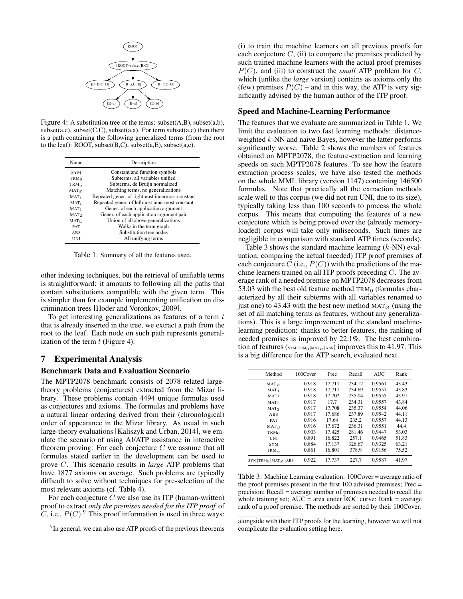

Figure 4: A substitution tree of the terms: subset(A,B), subset(a,b), subset $(a,c)$ , subset $(C,C)$ , subset $(a,a)$ . For term subset $(a,c)$  then there is a path containing the following generalized terms (from the root to the leaf): ROOT, subset(B,C), subset(a,E), subset(a,c).

| <b>Name</b>             | Description                                     |
|-------------------------|-------------------------------------------------|
| <b>SYM</b>              | Constant and function symbols                   |
| <b>TRM</b> <sub>0</sub> | Subterms, all variables unified                 |
| TRM $_{\alpha}$         | Subterms, de Bruijn normalized                  |
| $MAT \propto$           | Matching terms, no generalizations              |
| $MAT_r$                 | Repeated gener, of rightmost innermost constant |
| MAT <sub>I</sub>        | Repeated gener. of leftmost innermost constant  |
| $MAT_1$                 | Gener. of each application argument             |
| MAT <sub>2</sub>        | Gener. of each application argument pair        |
| $MAT_{++}$              | Union of all above generalizations              |
| <b>PAT</b>              | Walks in the term graph                         |
| ABS                     | Substitution tree nodes                         |
| UNI                     | All unifying terms                              |

Table 1: Summary of all the features used.

other indexing techniques, but the retrieval of unifiable terms is straightforward: it amounts to following all the paths that contain substitutions compatible with the given term. This is simpler than for example implementing unification on discrimination trees [Hoder and Voronkov, 2009].

To get interesting generalizations as features of a term  $t$ that is already inserted in the tree, we extract a path from the root to the leaf. Each node on such path represents generalization of the term  $t$  (Figure 4).

## 7 Experimental Analysis

#### Benchmark Data and Evaluation Scenario

The MPTP2078 benchmark consists of 2078 related largetheory problems (conjectures) extracted from the Mizar library. These problems contain 4494 unique formulas used as conjectures and axioms. The formulas and problems have a natural linear ordering derived from their (chronological) order of appearance in the Mizar library. As usual in such large-theory evaluations [Kaliszyk and Urban, 2014], we emulate the scenario of using AI/ATP assistance in interactive theorem proving: For each conjecture  $C$  we assume that all formulas stated earlier in the development can be used to prove C. This scenario results in *large* ATP problems that have 1877 axioms on average. Such problems are typically difficult to solve without techniques for pre-selection of the most relevant axioms (cf. Table 4).

For each conjecture  $C$  we also use its ITP (human-written) proof to extract *only the premises needed for the ITP proof* of C, i.e.,  $P(C)$ . This proof information is used in three ways: (i) to train the machine learners on all previous proofs for each conjecture  $C$ , (ii) to compare the premises predicted by such trained machine learners with the actual proof premises  $P(C)$ , and (iii) to construct the *small* ATP problem for C, which (unlike the *large* version) contains as axioms only the (few) premises  $P(C)$  – and in this way, the ATP is very significantly advised by the human author of the ITP proof.

#### Speed and Machine-Learning Performance

The features that we evaluate are summarized in Table 1. We limit the evaluation to two fast learning methods: distanceweighted  $k$ -NN and naive Bayes, however the latter performs significantly worse. Table 2 shows the numbers of features obtained on MPTP2078, the feature-extraction and learning speeds on such MPTP2078 features. To see how the feature extraction process scales, we have also tested the methods on the whole MML library (version 1147) containing 146500 formulas. Note that practically all the extraction methods scale well to this corpus (we did not run UNI, due to its size), typically taking less than 100 seconds to process the whole corpus. This means that computing the features of a new conjecture which is being proved over the (already memoryloaded) corpus will take only miliseconds. Such times are negligible in comparison with standard ATP times (seconds).

Table 3 shows the standard machine learning  $(k-NN)$  evaluation, comparing the actual (needed) ITP proof premises of each conjecture C (i.e.,  $P(C)$ ) with the predictions of the machine learners trained on all ITP proofs preceding  $C$ . The average rank of a needed premise on MPTP2078 decreases from 53.03 with the best old feature method  $TRM<sub>0</sub>$  (formulas characterized by all their subterms with all variables renamed to just one) to 43.43 with the best new method MAT<sub> $\alpha$ </sub> (using the set of all matching terms as features, without any generalizations). This is a large improvement of the standard machinelearning prediction: thanks to better features, the ranking of needed premises is improved by 22.1%. The best combination of features ( $\frac{\text{SYM}}{\text{TRM}_0|\text{MAT}_{\varnothing}|ABS}$ ) improves this to 41.97. This is a big difference for the ATP search, evaluated next.

| Method                      | 100Cover | Prec   | Recall | <b>AUC</b> | Rank  |
|-----------------------------|----------|--------|--------|------------|-------|
| MATQ                        | 0.918    | 17.711 | 234.12 | 0.9561     | 43.43 |
| $MAT_1$                     | 0.918    | 17.711 | 234.69 | 0.9557     | 43.83 |
| MAT <sub>1</sub>            | 0.918    | 17.702 | 235.04 | 0.9555     | 43.91 |
| $MAT_r$                     | 0.917    | 17.7   | 234.31 | 0.9557     | 43.84 |
| MAT <sub>2</sub>            | 0.917    | 17.708 | 235.37 | 0.9554     | 44.06 |
| ABS                         | 0.917    | 17.686 | 237.89 | 0.9542     | 44.11 |
| <b>PAT</b>                  | 0.916    | 17.64  | 235.2  | 0.9557     | 44.13 |
| $MAT_{\perp}$               | 0.916    | 17.672 | 236.31 | 0.9551     | 44.4  |
| TRM <sub>0</sub>            | 0.903    | 17.425 | 281.46 | 0.9447     | 53.03 |
| UNI                         | 0.891    | 16.822 | 257.1  | 0.9465     | 51.83 |
| <b>SYM</b>                  | 0.884    | 17.137 | 326.67 | 0.9325     | 63.21 |
| TRM $_{\alpha}$             | 0.861    | 16.801 | 378.9  | 0.9156     | 75.52 |
| $SYM$ TRMO MAT $\alpha$ ABS | 0.922    | 17.737 | 227.7  | 0.9587     | 41.97 |

Table 3: Machine Learning evaluation: 100Cover = average ratio of the proof premises present in the first 100 advised premises; Prec = precision; Recall = average number of premises needed to recall the whole training set;  $AUC = area$  under ROC curve; Rank = average rank of a proof premise. The methods are sorted by their 100Cover.

<sup>&</sup>lt;sup>9</sup>In general, we can also use ATP proofs of the previous theorems

alongside with their ITP proofs for the learning, however we will not complicate the evaluation setting here.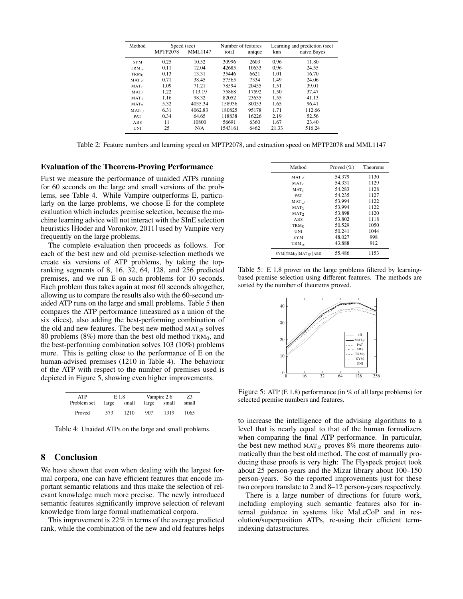| Method              | Speed (sec)     |         |         | Number of features |       | Learning and prediction (sec) |  |
|---------------------|-----------------|---------|---------|--------------------|-------|-------------------------------|--|
|                     | <b>MPTP2078</b> | MML1147 | total   | unique             | knn   | naive Bayes                   |  |
| <b>SYM</b>          | 0.25            | 10.52   | 30996   | 2603               | 0.96  | 11.80                         |  |
| $TRM_{\alpha}$      | 0.11            | 12.04   | 42685   | 10633              | 0.96  | 24.55                         |  |
| TRM <sub>0</sub>    | 0.13            | 13.31   | 35446   | 6621               | 1.01  | 16.70                         |  |
| $MAT_{\varnothing}$ | 0.71            | 38.45   | 57565   | 7334               | 1.49  | 24.06                         |  |
| $MAT_r$             | 1.09            | 71.21   | 78594   | 20455              | 1.51  | 39.01                         |  |
| MAT <sub>L</sub>    | 1.22            | 113.19  | 75868   | 17592              | 1.50  | 37.47                         |  |
| $MAT_1$             | 1.16            | 98.32   | 82052   | 23635              | 1.55  | 41.13                         |  |
| MAT <sub>2</sub>    | 5.32            | 4035.34 | 158936  | 80053              | 1.65  | 96.41                         |  |
| $MAT_{++}$          | 6.31            | 4062.83 | 180825  | 95178              | 1.71  | 112.66                        |  |
| <b>PAT</b>          | 0.34            | 64.65   | 118838  | 16226              | 2.19  | 52.56                         |  |
| ABS                 | 11              | 10800   | 56691   | 6360               | 1.67  | 23.40                         |  |
| UNI                 | 25              | N/A     | 1543161 | 6462               | 21.33 | 516.24                        |  |

Table 2: Feature numbers and learning speed on MPTP2078, and extraction speed on MPTP2078 and MML1147

### Evaluation of the Theorem-Proving Performance

First we measure the performance of unaided ATPs running for 60 seconds on the large and small versions of the problems, see Table 4. While Vampire outperforms E, particularly on the large problems, we choose E for the complete evaluation which includes premise selection, because the machine learning advice will not interact with the SInE selection heuristics [Hoder and Voronkov, 2011] used by Vampire very frequently on the large problems.

The complete evaluation then proceeds as follows. For each of the best new and old premise-selection methods we create six versions of ATP problems, by taking the topranking segments of 8, 16, 32, 64, 128, and 256 predicted premises, and we run E on such problems for 10 seconds. Each problem thus takes again at most 60 seconds altogether, allowing us to compare the results also with the 60-second unaided ATP runs on the large and small problems. Table 5 then compares the ATP performance (measured as a union of the six slices), also adding the best-performing combination of the old and new features. The best new method  $MAT_{\varnothing}$  solves 80 problems (8%) more than the best old method  $TRM_0$ , and the best-performing combination solves 103 (10%) problems more. This is getting close to the performance of E on the human-advised premises (1210 in Table 4). The behaviour of the ATP with respect to the number of premises used is depicted in Figure 5, showing even higher improvements.

| <b>ATP</b>  | E 1.8 |       |       | Vampire 2.6 | 73    |
|-------------|-------|-------|-------|-------------|-------|
| Problem set | large | small | large | small       | small |
| Proved      | 573   | 1210  | 907   | 1319        | 1065  |

Table 4: Unaided ATPs on the large and small problems.

## 8 Conclusion

We have shown that even when dealing with the largest formal corpora, one can have efficient features that encode important semantic relations and thus make the selection of relevant knowledge much more precise. The newly introduced semantic features significantly improve selection of relevant knowledge from large formal mathematical corpora.

This improvement is 22% in terms of the average predicted rank, while the combination of the new and old features helps

| Method                                  | Proved $(\% )$ | <b>Theorems</b> |
|-----------------------------------------|----------------|-----------------|
| $MAT \varnothing$                       | 54.379         | 1130            |
| $MAT_r$                                 | 54.331         | 1129            |
| MAT <sub>I</sub>                        | 54.283         | 1128            |
| <b>PAT</b>                              | 54.235         | 1127            |
| $MAT_{\perp}$                           | 53.994         | 1122            |
| MAT <sub>1</sub>                        | 53.994         | 1122            |
| MAT <sub>2</sub>                        | 53.898         | 1120            |
| ABS                                     | 53.802         | 1118            |
| TRM <sub>0</sub>                        | 50.529         | 1050            |
| UNI                                     | 50.241         | 1044            |
| <b>SYM</b>                              | 48.027         | 998             |
| TRM $_{\alpha}$                         | 43.888         | 912             |
| $SYM$ TRM <sub>O</sub> MAT $\alpha$ ABS | 55.486         | 1153            |

Table 5: E 1.8 prover on the large problems filtered by learningbased premise selection using different features. The methods are sorted by the number of theorems proved.



Figure 5: ATP (E 1.8) performance (in % of all large problems) for selected premise numbers and features.

to increase the intelligence of the advising algorithms to a level that is nearly equal to that of the human formalizers when comparing the final ATP performance. In particular, the best new method MAT<sub> $\varnothing$ </sub> proves 8% more theorems automatically than the best old method. The cost of manually producing these proofs is very high: The Flyspeck project took about 25 person-years and the Mizar library about 100–150 person-years. So the reported improvements just for these two corpora translate to 2 and 8–12 person-years respectively.

There is a large number of directions for future work, including employing such semantic features also for internal guidance in systems like MaLeCoP and in resolution/superposition ATPs, re-using their efficient termindexing datastructures.